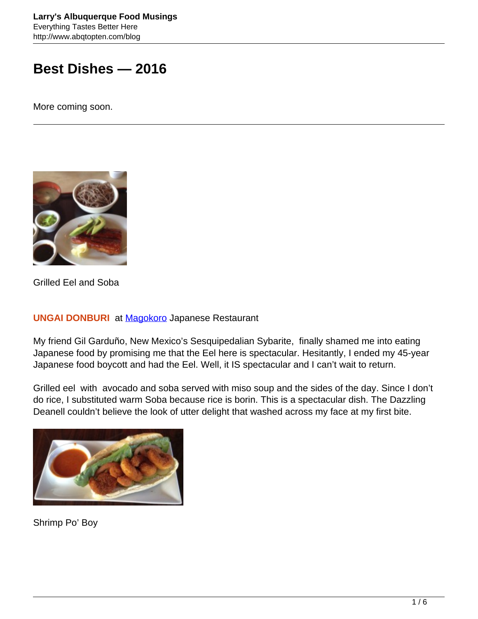# **Best Dishes — 2016**

More coming soon.



Grilled Eel and Soba

#### **UNGAI DONBURI** at [Magokoro](https://www.zomato.com/albuquerque-nm/magokoro-japanese-uptown) Japanese Restaurant

My friend Gil Garduño, New Mexico's Sesquipedalian Sybarite, finally shamed me into eating Japanese food by promising me that the Eel here is spectacular. Hesitantly, I ended my 45-year Japanese food boycott and had the Eel. Well, it IS spectacular and I can't wait to return.

Grilled eel with avocado and soba served with miso soup and the sides of the day. Since I don't do rice, I substituted warm Soba because rice is borin. This is a spectacular dish. The Dazzling Deanell couldn't believe the look of utter delight that washed across my face at my first bite.



Shrimp Po' Boy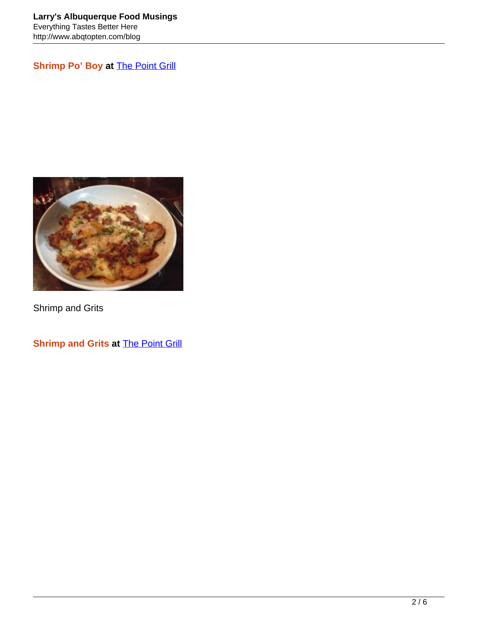**Shrimp Po' Boy at [The Point Grill](https://www.facebook.com/pointgrillmariposa/timeline)** 



Shrimp and Grits

**Shrimp and Grits at [The Point Grill](https://www.facebook.com/pointgrillmariposa/timeline)**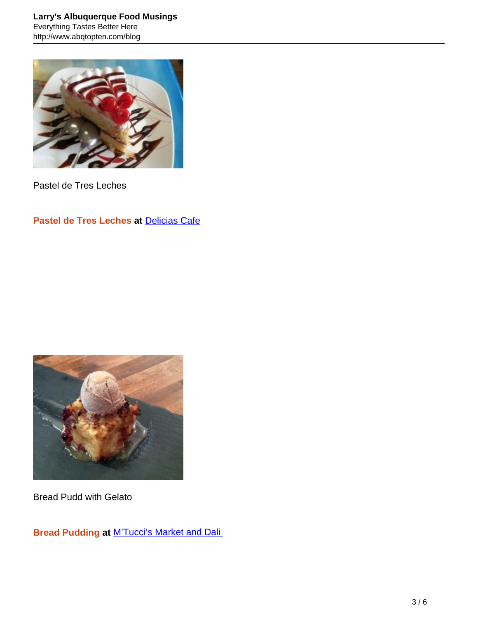

Pastel de Tres Leches

## **Pastel de Tres Leches at [Delicias Cafe](http://www.abqtopten.com/blog/delicias-cafe/)**



Bread Pudd with Gelato

**Bread Pudding at** [M'Tucci's Market and Dali](http://www.abqtopten.com/blog/mtuccis-italian-market-deli/)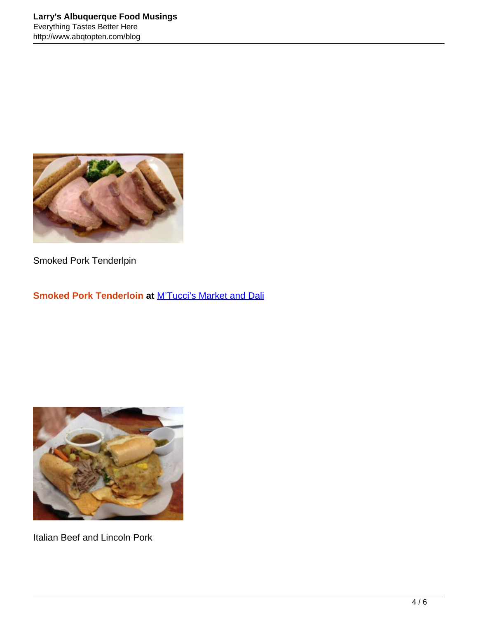

Smoked Pork Tenderlpin

## **Smoked Pork Tenderloin at** [M'Tucci's Market and Dali](http://www.abqtopten.com/blog/mtuccis-italian-market-deli/)



Italian Beef and Lincoln Pork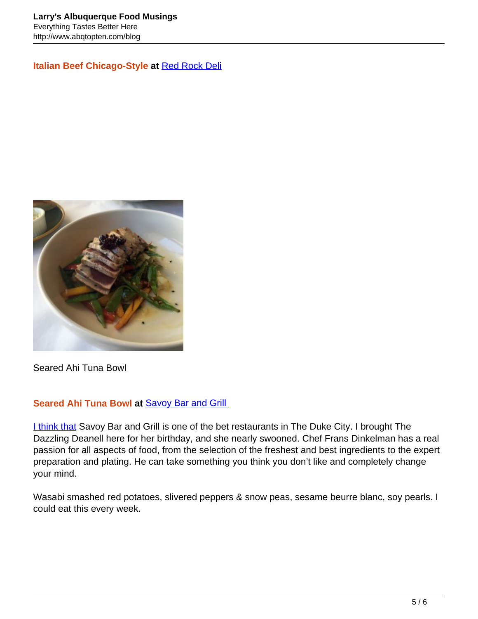**Italian Beef Chicago-Style at** [Red Rock Deli](https://www.facebook.com/redrockdeliabq/timeline)



Seared Ahi Tuna Bowl

#### **Seared Ahi Tuna Bowl at** [Savoy Bar and Grill](http://savoyabq.com/)

[I think that](http://savoyabq.com/) Savoy Bar and Grill is one of the bet restaurants in The Duke City. I brought The Dazzling Deanell here for her birthday, and she nearly swooned. Chef Frans Dinkelman has a real passion for all aspects of food, from the selection of the freshest and best ingredients to the expert preparation and plating. He can take something you think you don't like and completely change your mind.

Wasabi smashed red potatoes, slivered peppers & snow peas, sesame beurre blanc, soy pearls. I could eat this every week.